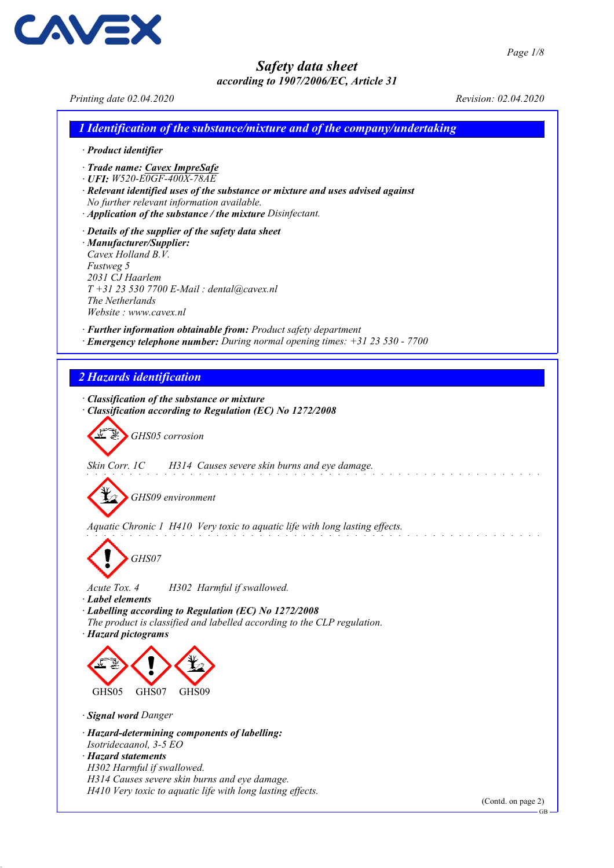GB

## Safety data sheet according to 1907/2006/EC, Article 31

Printing date 02.04.2020 Revision: 02.04.2020 1 Identification of the substance/mixture and of the company/undertaking · Product identifier · Trade name: Cavex ImpreSafe · UFI: W520-E0GF-400X-78AE · Relevant identified uses of the substance or mixture and uses advised against No further relevant information available. · Application of the substance / the mixture Disinfectant. · Details of the supplier of the safety data sheet · Manufacturer/Supplier: Cavex Holland B.V. Fustweg 5 2031 CJ Haarlem T +31 23 530 7700 E-Mail : dental@cavex.nl The Netherlands Website : www.cavex.nl · Further information obtainable from: Product safety department · Emergency telephone number: During normal opening times: +31 23 530 - 7700 2 Hazards identification · Classification of the substance or mixture · Classification according to Regulation (EC) No 1272/2008 GHS05 corrosion Skin Corr. 1C H314 Causes severe skin burns and eye damage. GHS09 environment Aquatic Chronic 1 H410 Very toxic to aquatic life with long lasting effects. GHS07 Acute Tox. 4 H302 Harmful if swallowed. · Label elements · Labelling according to Regulation (EC) No 1272/2008 The product is classified and labelled according to the CLP regulation. · Hazard pictograms GHS05 GHS07 GHS09 · Signal word Danger · Hazard-determining components of labelling: Isotridecaanol, 3-5 EO · Hazard statements H302 Harmful if swallowed. H314 Causes severe skin burns and eye damage. H410 Very toxic to aquatic life with long lasting effects. (Contd. on page 2)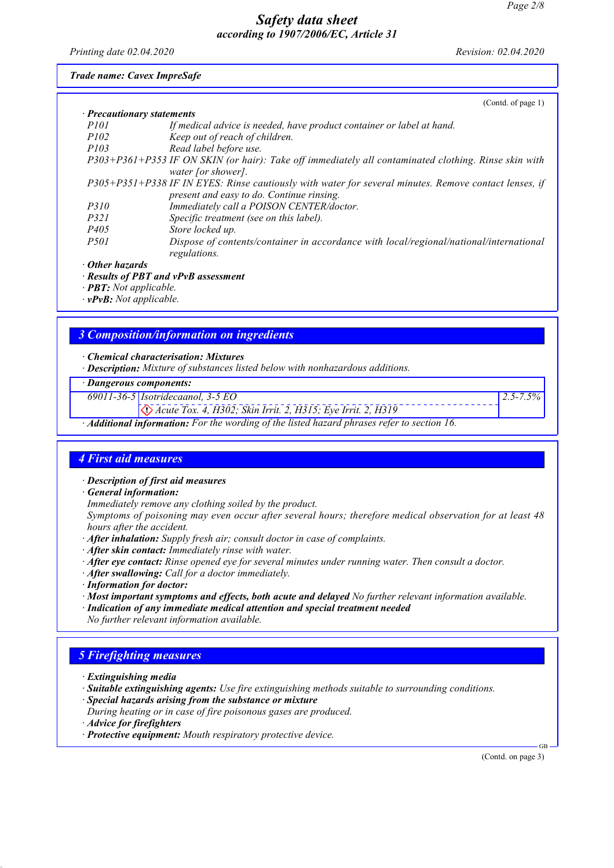Printing date 02.04.2020 Revision: 02.04.2020

Trade name: Cavex ImpreSafe

|                                  | (Contd. of page 1)                                                                                                         |
|----------------------------------|----------------------------------------------------------------------------------------------------------------------------|
| $\cdot$ Precautionary statements |                                                                                                                            |
| <i>P101</i>                      | If medical advice is needed, have product container or label at hand.                                                      |
| <i>P102</i>                      | Keep out of reach of children.                                                                                             |
| <i>P103</i>                      | Read label before use.                                                                                                     |
|                                  | P303+P361+P353 IF ON SKIN (or hair): Take off immediately all contaminated clothing. Rinse skin with<br>water [or shower]. |
|                                  | P305+P351+P338 IF IN EYES: Rinse cautiously with water for several minutes. Remove contact lenses, if                      |
|                                  | present and easy to do. Continue rinsing.                                                                                  |
| <i>P310</i>                      | Immediately call a POISON CENTER/doctor.                                                                                   |
| <i>P321</i>                      | Specific treatment (see on this label).                                                                                    |
| P <sub>405</sub>                 | Store locked up.                                                                                                           |
| <i>P501</i>                      | Dispose of contents/container in accordance with local/regional/national/international<br>regulations.                     |
| $\cdot$ Other hazards            |                                                                                                                            |
|                                  |                                                                                                                            |

· Results of PBT and vPvB assessment

· PBT: Not applicable.

· vPvB: Not applicable.

## 3 Composition/information on ingredients

· Chemical characterisation: Mixtures

· Description: Mixture of substances listed below with nonhazardous additions.

#### · Dangerous components:

69011-36-5 Isotridecaanol, 3-5 EO

Acute Tox. 4, H302; Skin Irrit. 2, H315; Eye Irrit. 2, H319

· Additional information: For the wording of the listed hazard phrases refer to section 16.

#### 4 First aid measures

· Description of first aid measures

· General information:

Immediately remove any clothing soiled by the product.

Symptoms of poisoning may even occur after several hours; therefore medical observation for at least 48 hours after the accident.

- · After inhalation: Supply fresh air; consult doctor in case of complaints.
- · After skin contact: Immediately rinse with water.
- · After eye contact: Rinse opened eye for several minutes under running water. Then consult a doctor.
- · After swallowing: Call for a doctor immediately.
- · Information for doctor:
- · Most important symptoms and effects, both acute and delayed No further relevant information available.
- · Indication of any immediate medical attention and special treatment needed
- No further relevant information available.

## 5 Firefighting measures

- · Extinguishing media
- · Suitable extinguishing agents: Use fire extinguishing methods suitable to surrounding conditions.
- · Special hazards arising from the substance or mixture

During heating or in case of fire poisonous gases are produced.

- · Advice for firefighters
- · Protective equipment: Mouth respiratory protective device.

(Contd. on page 3)

GB

 $2.5 - 7.5\%$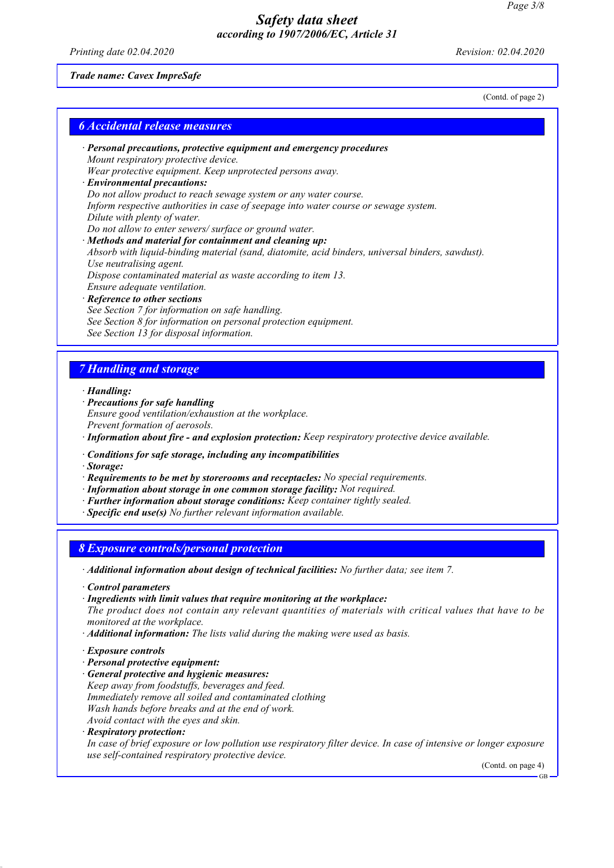Printing date 02.04.2020 Revision: 02.04.2020

#### Trade name: Cavex ImpreSafe

(Contd. of page 2)

| · Personal precautions, protective equipment and emergency procedures                            |
|--------------------------------------------------------------------------------------------------|
| Mount respiratory protective device.                                                             |
| Wear protective equipment. Keep unprotected persons away.                                        |
| · Environmental precautions:                                                                     |
| Do not allow product to reach sewage system or any water course.                                 |
| Inform respective authorities in case of seepage into water course or sewage system.             |
| Dilute with plenty of water.                                                                     |
| Do not allow to enter sewers/ surface or ground water.                                           |
| $\cdot$ Methods and material for containment and cleaning up:                                    |
| Absorb with liquid-binding material (sand, diatomite, acid binders, universal binders, sawdust). |
| Use neutralising agent.                                                                          |
| Dispose contaminated material as waste according to item 13.                                     |
| Ensure adequate ventilation.                                                                     |
| · Reference to other sections                                                                    |
| See Section 7 for information on safe handling.                                                  |
| See Section 8 for information on personal protection equipment.                                  |
| See Section 13 for disposal information.                                                         |

# 7 Handling and storage

· Handling:

- · Precautions for safe handling Ensure good ventilation/exhaustion at the workplace. Prevent formation of aerosols. · Information about fire - and explosion protection: Keep respiratory protective device available.
- · Conditions for safe storage, including any incompatibilities

· Storage:

- · Requirements to be met by storerooms and receptacles: No special requirements.
- · Information about storage in one common storage facility: Not required.
- · Further information about storage conditions: Keep container tightly sealed.
- · Specific end use(s) No further relevant information available.

8 Exposure controls/personal protection

· Additional information about design of technical facilities: No further data; see item 7.

· Control parameters

· Ingredients with limit values that require monitoring at the workplace:

The product does not contain any relevant quantities of materials with critical values that have to be monitored at the workplace.

- · Additional information: The lists valid during the making were used as basis.
- · Exposure controls
- · Personal protective equipment:
- · General protective and hygienic measures: Keep away from foodstuffs, beverages and feed. Immediately remove all soiled and contaminated clothing Wash hands before breaks and at the end of work. Avoid contact with the eyes and skin.
- · Respiratory protection:

In case of brief exposure or low pollution use respiratory filter device. In case of intensive or longer exposure use self-contained respiratory protective device.

(Contd. on page 4)

GB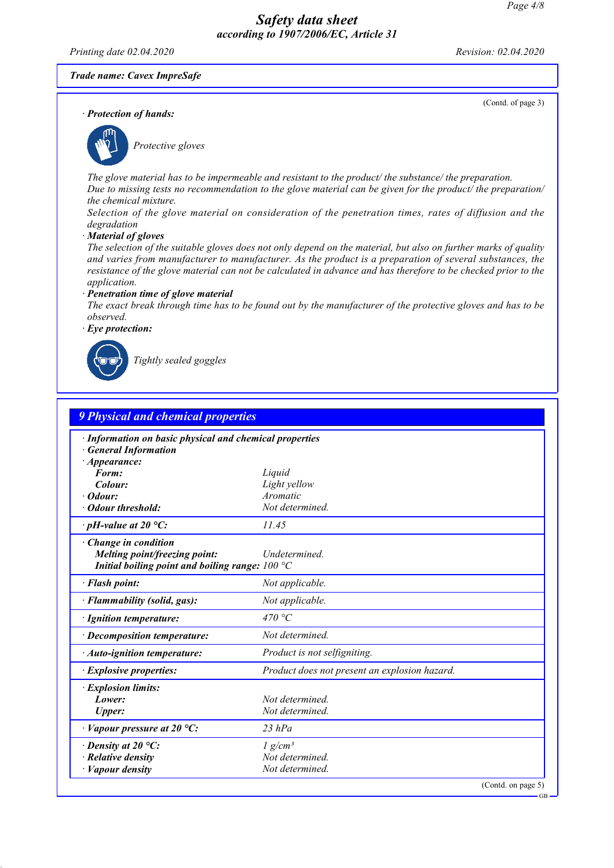Printing date 02.04.2020 Revision: 02.04.2020

(Contd. of page 3)

#### Trade name: Cavex ImpreSafe

· Protection of hands:



Protective gloves

The glove material has to be impermeable and resistant to the product/ the substance/ the preparation. Due to missing tests no recommendation to the glove material can be given for the product the preparation/ the chemical mixture.

Selection of the glove material on consideration of the penetration times, rates of diffusion and the degradation

#### · Material of gloves

The selection of the suitable gloves does not only depend on the material, but also on further marks of quality and varies from manufacturer to manufacturer. As the product is a preparation of several substances, the resistance of the glove material can not be calculated in advance and has therefore to be checked prior to the application.

#### · Penetration time of glove material

The exact break through time has to be found out by the manufacturer of the protective gloves and has to be observed.

· Eye protection:



Tightly sealed goggles

| <b>9 Physical and chemical properties</b>                                                                 |                                               |  |  |
|-----------------------------------------------------------------------------------------------------------|-----------------------------------------------|--|--|
| · Information on basic physical and chemical properties<br><b>General Information</b>                     |                                               |  |  |
| $\cdot$ Appearance:                                                                                       |                                               |  |  |
| Form:<br>Colour:                                                                                          | Liquid<br>Light yellow                        |  |  |
| $\cdot$ Odour:                                                                                            | Aromatic                                      |  |  |
| • Odour threshold:                                                                                        | Not determined.                               |  |  |
| $\cdot$ pH-value at 20 °C:                                                                                | 11.45                                         |  |  |
| Change in condition<br>Melting point/freezing point:<br>Initial boiling point and boiling range: $100 °C$ | Undetermined.                                 |  |  |
| · Flash point:                                                                                            | Not applicable.                               |  |  |
| · Flammability (solid, gas):                                                                              | Not applicable.                               |  |  |
| · Ignition temperature:                                                                                   | 470 °C                                        |  |  |
| · Decomposition temperature:                                                                              | Not determined.                               |  |  |
| · Auto-ignition temperature:                                                                              | Product is not selfigniting.                  |  |  |
| $\cdot$ Explosive properties:                                                                             | Product does not present an explosion hazard. |  |  |
| · Explosion limits:<br>Lower:<br><b>Upper:</b>                                                            | Not determined.<br>Not determined.            |  |  |
| $\cdot$ Vapour pressure at 20 °C:                                                                         | $23$ hPa                                      |  |  |
| $\cdot$ Density at 20 °C:                                                                                 | $1$ g/cm <sup>3</sup>                         |  |  |
| $\cdot$ Relative density                                                                                  | Not determined.                               |  |  |
| $\cdot$ <i>Vapour density</i>                                                                             | Not determined.                               |  |  |

GB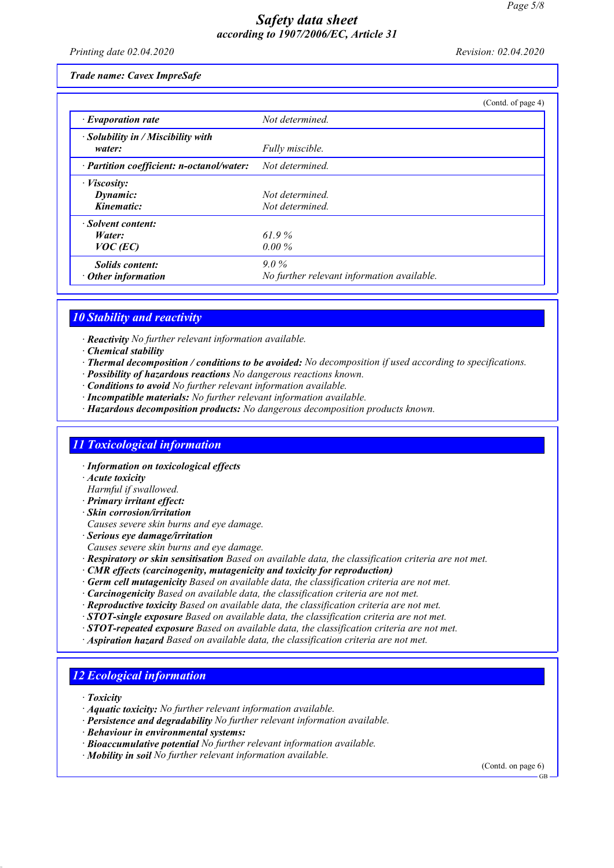Printing date 02.04.2020 Revision: 02.04.2020

Trade name: Cavex ImpreSafe

|                                                     |                                                       | (Contd. of page 4) |
|-----------------------------------------------------|-------------------------------------------------------|--------------------|
| $\cdot$ Evaporation rate                            | Not determined.                                       |                    |
| $\cdot$ Solubility in / Miscibility with<br>water:  | Fully miscible.                                       |                    |
| · Partition coefficient: n-octanol/water:           | Not determined.                                       |                    |
| $\cdot$ <i>Viscosity:</i><br>Dynamic:<br>Kinematic: | Not determined.<br>Not determined.                    |                    |
| · Solvent content:<br>Water:<br>$VOC$ (EC)          | 61.9%<br>$0.00\%$                                     |                    |
| <b>Solids content:</b><br>$\cdot$ Other information | $9.0\%$<br>No further relevant information available. |                    |

### 10 Stability and reactivity

· Reactivity No further relevant information available.

- · Chemical stability
- · Thermal decomposition / conditions to be avoided: No decomposition if used according to specifications.
- · Possibility of hazardous reactions No dangerous reactions known.
- · Conditions to avoid No further relevant information available.
- · Incompatible materials: No further relevant information available.
- · Hazardous decomposition products: No dangerous decomposition products known.

## 11 Toxicological information

- · Information on toxicological effects
- · Acute toxicity
- Harmful if swallowed.
- · Primary irritant effect:
- · Skin corrosion/irritation
- Causes severe skin burns and eye damage.
- · Serious eye damage/irritation
- Causes severe skin burns and eye damage.
- · Respiratory or skin sensitisation Based on available data, the classification criteria are not met.
- · CMR effects (carcinogenity, mutagenicity and toxicity for reproduction)
- · Germ cell mutagenicity Based on available data, the classification criteria are not met.
- · Carcinogenicity Based on available data, the classification criteria are not met.
- · Reproductive toxicity Based on available data, the classification criteria are not met.
- $\cdot$  STOT-single exposure Based on available data, the classification criteria are not met.
- · STOT-repeated exposure Based on available data, the classification criteria are not met.
- · Aspiration hazard Based on available data, the classification criteria are not met.

## 12 Ecological information

· Toxicity

- · Aquatic toxicity: No further relevant information available.
- · Persistence and degradability No further relevant information available.
- · Behaviour in environmental systems:
- · Bioaccumulative potential No further relevant information available.
- · Mobility in soil No further relevant information available.

(Contd. on page 6)

GB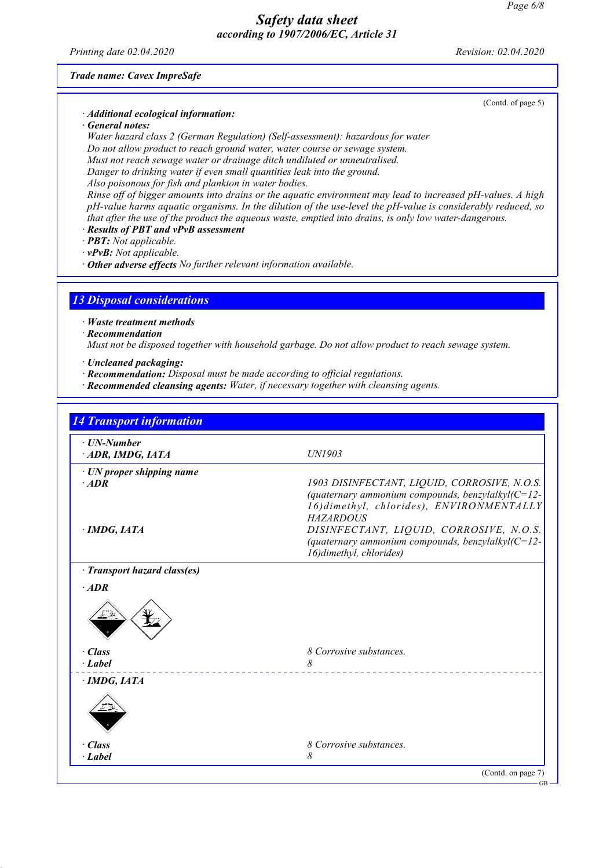Printing date 02.04.2020 Revision: 02.04.2020

Trade name: Cavex ImpreSafe

#### · Additional ecological information:

· General notes:

Water hazard class 2 (German Regulation) (Self-assessment): hazardous for water Do not allow product to reach ground water, water course or sewage system. Must not reach sewage water or drainage ditch undiluted or unneutralised. Danger to drinking water if even small quantities leak into the ground. Also poisonous for fish and plankton in water bodies.

Rinse off of bigger amounts into drains or the aquatic environment may lead to increased pH-values. A high pH-value harms aquatic organisms. In the dilution of the use-level the pH-value is considerably reduced, so that after the use of the product the aqueous waste, emptied into drains, is only low water-dangerous.

- · Results of PBT and vPvB assessment
- · PBT: Not applicable.
- · vPvB: Not applicable.

· Other adverse effects No further relevant information available.

## 13 Disposal considerations

- · Waste treatment methods
- · Recommendation

Must not be disposed together with household garbage. Do not allow product to reach sewage system.

- · Uncleaned packaging:
- · Recommendation: Disposal must be made according to official regulations.
- · Recommended cleansing agents: Water, if necessary together with cleansing agents.

| $\cdot$ UN-Number                                           |                                                                                                                                                                                                                                                                          |
|-------------------------------------------------------------|--------------------------------------------------------------------------------------------------------------------------------------------------------------------------------------------------------------------------------------------------------------------------|
| ADR, IMDG, IATA                                             | UN1903                                                                                                                                                                                                                                                                   |
| · UN proper shipping name<br>$·$ <i>ADR</i><br>· IMDG, IATA | 1903 DISINFECTANT, LIQUID, CORROSIVE, N.O.S.<br>(quaternary ammonium compounds, benzylalkyl $(C=12-$<br>16) dimethyl, chlorides), ENVIRONMENTALLY<br><b>HAZARDOUS</b><br>DISINFECTANT, LIQUID, CORROSIVE, N.O.S.<br>(quaternary ammonium compounds, benzylalkyl $(C=12-$ |
|                                                             | 16) dimethyl, chlorides)                                                                                                                                                                                                                                                 |
| · Transport hazard class(es)<br>$·$ <i>ADR</i>              |                                                                                                                                                                                                                                                                          |
|                                                             |                                                                                                                                                                                                                                                                          |
| $\cdot$ Class                                               | 8 Corrosive substances.                                                                                                                                                                                                                                                  |
| $\cdot$ Label                                               | 8                                                                                                                                                                                                                                                                        |
| · IMDG, IATA                                                |                                                                                                                                                                                                                                                                          |
| $\cdot$ Class                                               | 8 Corrosive substances.                                                                                                                                                                                                                                                  |
| $\cdot$ Label                                               | 8                                                                                                                                                                                                                                                                        |

(Contd. of page 5)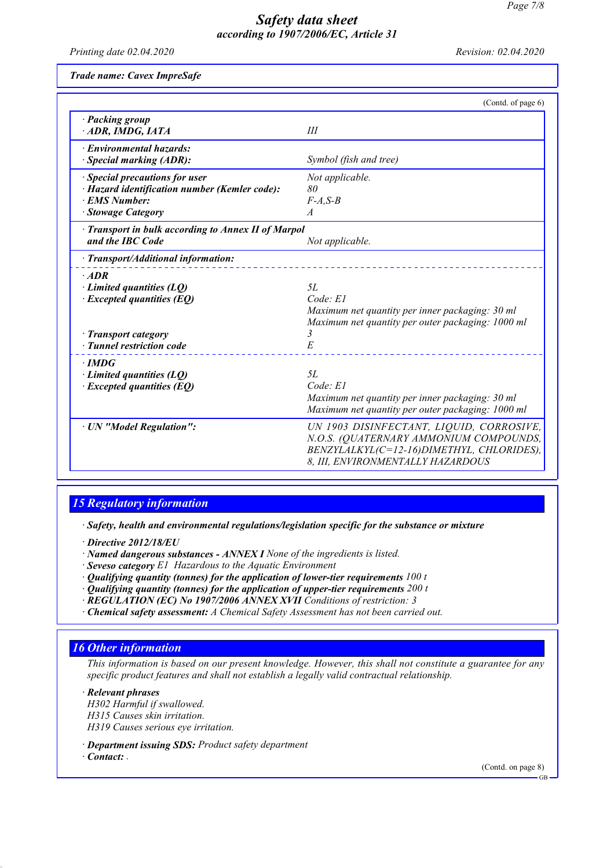Printing date 02.04.2020 Revision: 02.04.2020

Trade name: Cavex ImpreSafe

|                                                                                                                                            | (Contd. of page 6)                                                                                                                                                   |
|--------------------------------------------------------------------------------------------------------------------------------------------|----------------------------------------------------------------------------------------------------------------------------------------------------------------------|
| · Packing group<br>ADR, IMDG, IATA                                                                                                         | III                                                                                                                                                                  |
| · Environmental hazards:<br>· Special marking (ADR):                                                                                       | Symbol (fish and tree)                                                                                                                                               |
| · Special precautions for user<br>· Hazard identification number (Kemler code):<br>· EMS Number:<br>· Stowage Category                     | Not applicable.<br>80<br>$F-A, S-B$<br>$\mathcal{A}$                                                                                                                 |
| · Transport in bulk according to Annex II of Marpol<br>and the IBC Code                                                                    | Not applicable.                                                                                                                                                      |
| · Transport/Additional information:                                                                                                        |                                                                                                                                                                      |
| $·$ <i>ADR</i><br>$\cdot$ Limited quantities (LQ)<br>$\cdot$ Excepted quantities (EQ)<br>· Transport category<br>· Tunnel restriction code | 5L<br>Code: El<br>Maximum net quantity per inner packaging: 30 ml<br>Maximum net quantity per outer packaging: 1000 ml<br>3<br>E                                     |
| $\cdot$ IMDG<br>$\cdot$ Limited quantities (LQ)<br>$\cdot$ Excepted quantities (EQ)                                                        | 5L<br>Code: E1<br>Maximum net quantity per inner packaging: 30 ml<br>Maximum net quantity per outer packaging: 1000 ml                                               |
| · UN "Model Regulation":                                                                                                                   | UN 1903 DISINFECTANT, LIQUID, CORROSIVE,<br>N.O.S. (QUATERNARY AMMONIUM COMPOUNDS,<br>BENZYLALKYL(C=12-16)DIMETHYL, CHLORIDES),<br>8, III, ENVIRONMENTALLY HAZARDOUS |

### 15 Regulatory information

· Safety, health and environmental regulations/legislation specific for the substance or mixture

· Directive 2012/18/EU

- · Named dangerous substances ANNEX I None of the ingredients is listed.
- · Seveso category E1 Hazardous to the Aquatic Environment
- $\cdot$  Qualifying quantity (tonnes) for the application of lower-tier requirements 100 t
- $\cdot$  Qualifying quantity (tonnes) for the application of upper-tier requirements 200 t
- · REGULATION (EC) No 1907/2006 ANNEX XVII Conditions of restriction: 3
- · Chemical safety assessment: A Chemical Safety Assessment has not been carried out.

#### 16 Other information

This information is based on our present knowledge. However, this shall not constitute a guarantee for any specific product features and shall not establish a legally valid contractual relationship.

· Relevant phrases H302 Harmful if swallowed. H315 Causes skin irritation. H319 Causes serious eye irritation.

· Department issuing SDS: Product safety department

· Contact: .

(Contd. on page 8)

GB